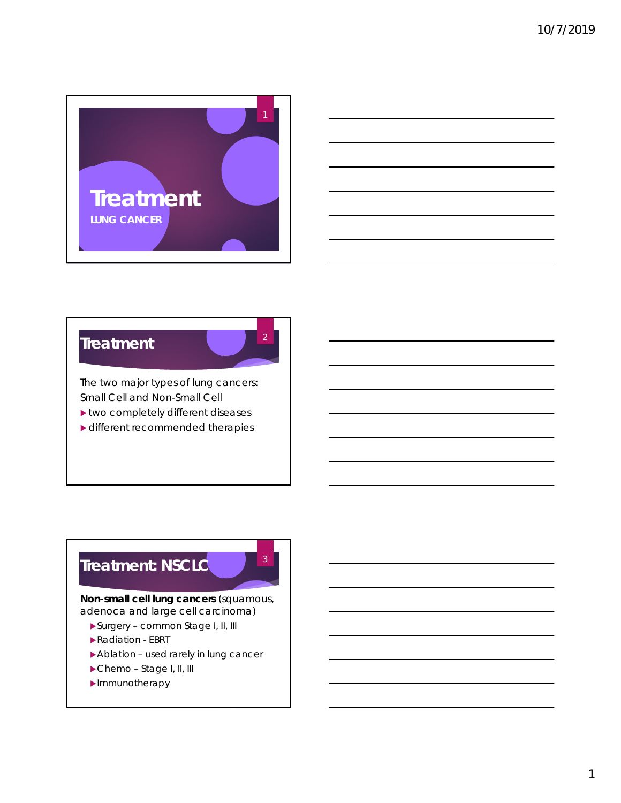



#### **Treatment**

2

3

The two major types of lung cancers: Small Cell and Non-Small Cell

- two completely different diseases
- ▶ different recommended therapies

## **Treatment: NSCLC**

**Non-small cell lung cancers** (squamous, adenoca and large cell carcinoma)

- Surgery common Stage I, II, III
- Radiation EBRT
- Ablation used rarely in lung cancer
- Chemo Stage I, II, III
- **Immunotherapy**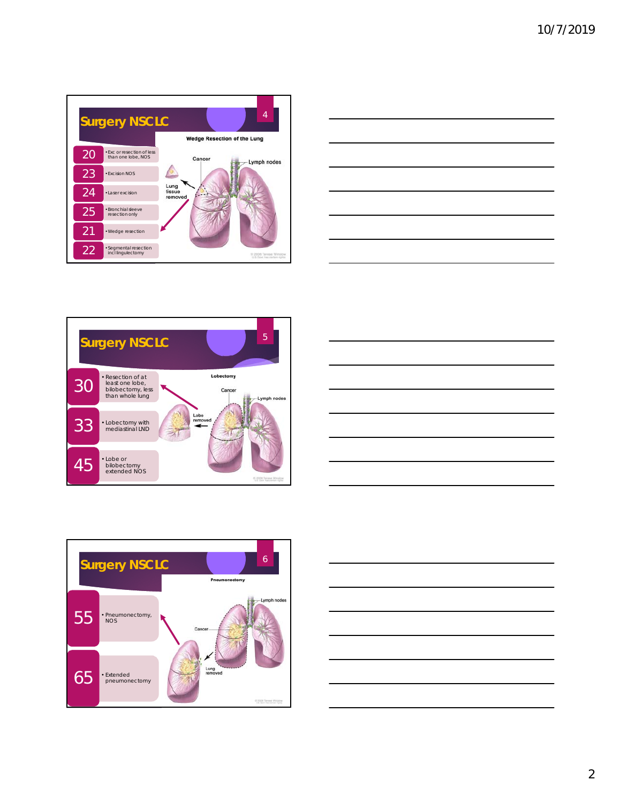









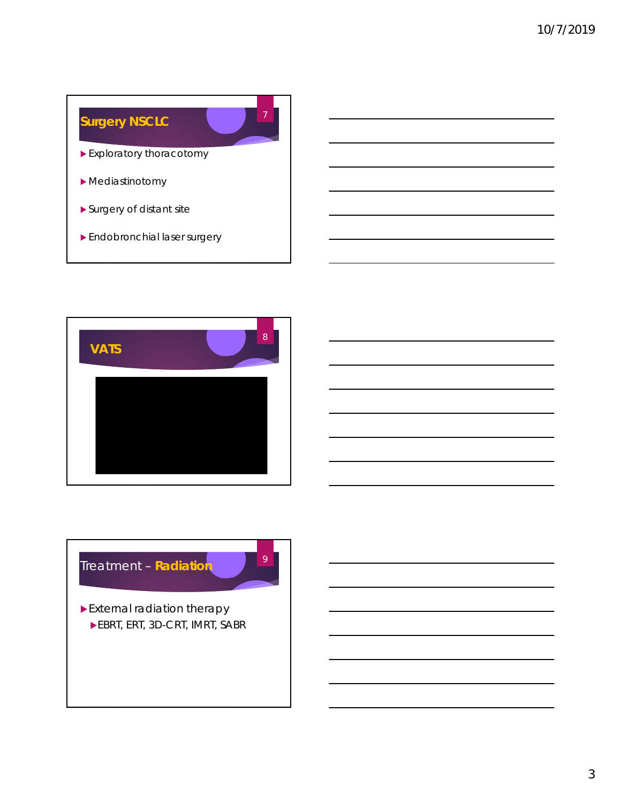## **Surgery NSCLC**

Exploratory thoracotomy

7

- Mediastinotomy
- Surgery of distant site
- Endobronchial laser surgery



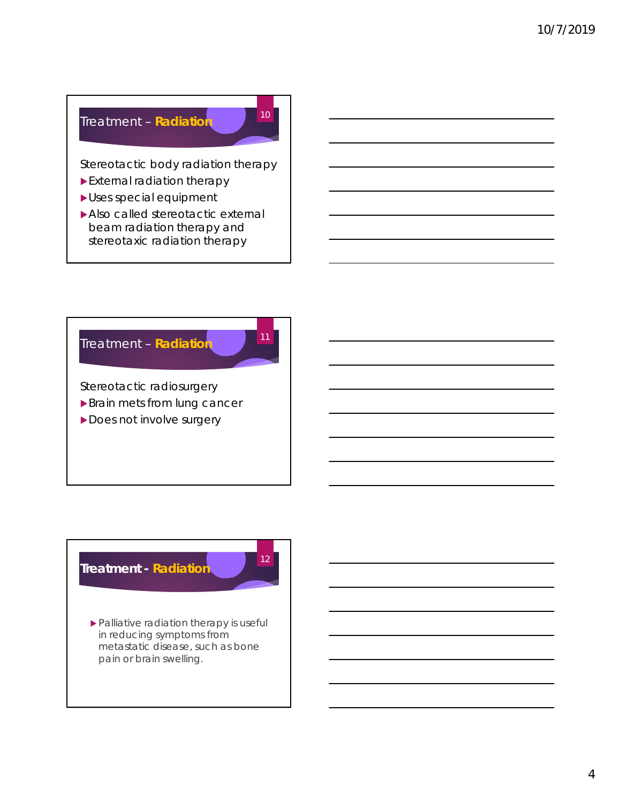### Treatment – **Radiation**

Stereotactic body radiation therapy

10

12

- External radiation therapy
- Uses special equipment
- Also called stereotactic external beam radiation therapy and stereotaxic radiation therapy



## **Treatment - Radiation**

 Palliative radiation therapy is useful in reducing symptoms from metastatic disease, such as bone pain or brain swelling.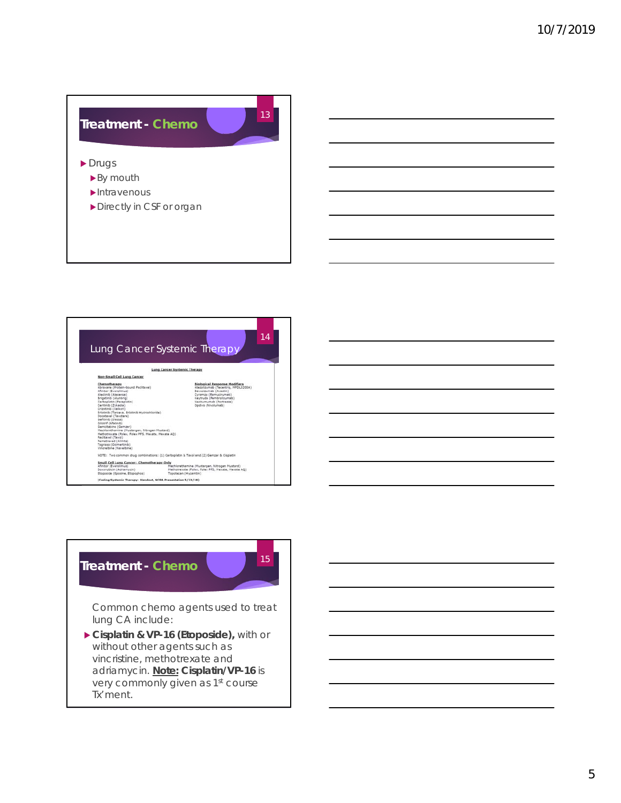



### **Treatment - Chemo**

15

Common chemo agents used to treat lung CA include:

 **Cisplatin & VP-16 (Etoposide),** with or without other agents such as vincristine, methotrexate and adriamycin. **Note: Cisplatin/VP-16** is very commonly given as 1<sup>st</sup> course Tx'ment.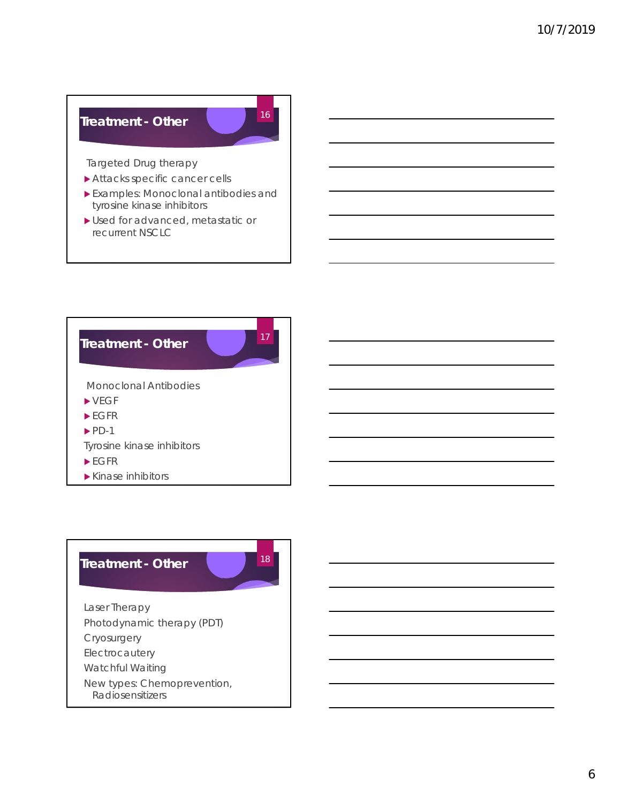#### **Treatment - Other**

Targeted Drug therapy

- Attacks specific cancer cells
- Examples: Monoclonal antibodies and tyrosine kinase inhibitors
- Used for advanced, metastatic or recurrent NSCLC



#### **Treatment - Other**

18

16

Laser Therapy Photodynamic therapy (PDT) Cryosurgery Electrocautery Watchful Waiting New types: Chemoprevention,

Radiosensitizers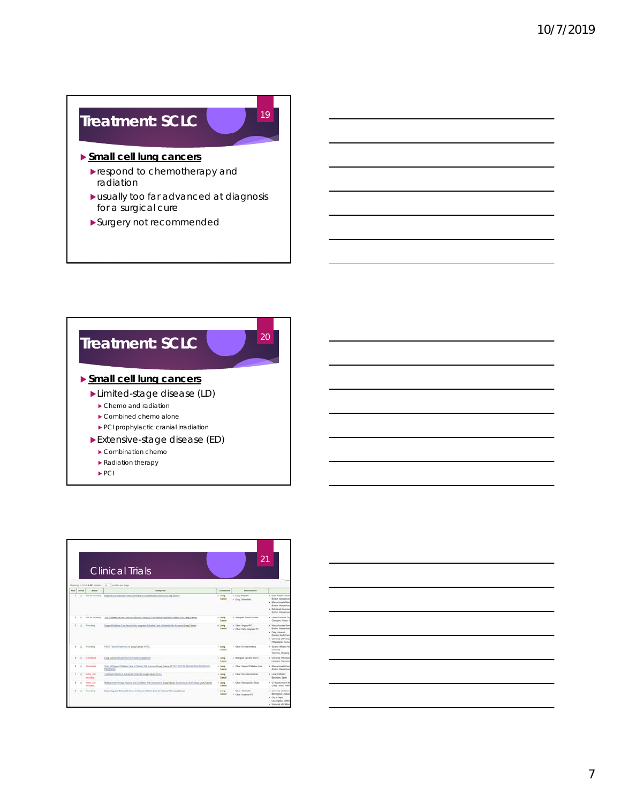## **Treatment: SCLC**

#### **Small cell lung cancers**

- respond to chemotherapy and radiation
- usually too far advanced at diagnosis for a surgical cure

19

Surgery not recommended



|            |              |                        | <b>Clinical Trials</b>                                                                                           |                    | 21                                              |                                                                                                                                                    |
|------------|--------------|------------------------|------------------------------------------------------------------------------------------------------------------|--------------------|-------------------------------------------------|----------------------------------------------------------------------------------------------------------------------------------------------------|
| <b>Bow</b> | Sevent       | <b>Station</b>         | Showing 1-12 of \$,\$81 studes 10 . * studes per page<br><b>Study Title</b>                                      | Conditions         | International                                   |                                                                                                                                                    |
|            | ü            | <b>For yet monday</b>  | Ningaritz in Continues 19th Coinverteds in EGPA Museum Atlanta Chang Comer                                       | $+$ Lang<br>Cancer | . Dog Negati<br>. Dog Octowink                  | 4 Dana Farber Cancer<br>Sustan Massachun<br>4 Manuschusetts Gene<br><b>Bastot Messachus</b><br>4 Forth Israel Deersons<br><b>Buster, Massachus</b> |
| ٠.         | $\mathbb{R}$ | Text put recording     | Trail of Taxwal Vaccine Used for Ademant Therapy in Float Reduct Cannaises Patentes 1980 Lang Cancer             | $4$ Lang<br>Cancel | . Balegial Tump Ventile                         | a Though Research Tue<br>Changeloi, Hunan,                                                                                                         |
|            |              | Renalize               | Stepped Publisher Care Stetus Early Integrated Publisher Care In Publishers 1990 Adversed Lang Camera            | $+$ Lamp<br>Cancer | . Oher Steppel PC<br>. One: Early Integrated PC | + Manuficcutty Sale<br><b>Books, Massachus</b><br>+ Chike University<br>Darkam North Carol<br>4 Chicaroly of Farmer<br>Philadelphia, Penne         |
|            | ×            | Rending                | PETICT Based Reductios for Lang Cancer (PERL)                                                                    | $+$ Lung<br>Cancel | . Other his impromising                         | 4 Second Africand Hy<br><b>Contractor</b><br>Weighes Zhaleng                                                                                       |
|            | ×            | Completed              | Lang Camer Vacche Plus Crai Sleters Supplement                                                                   | $+$ Long<br>Cancer | . Doinginal vaccine 1032-G                      | a University of Kartkork<br>Leakulor, Karkoka                                                                                                      |
|            |              | Toursman and a         | 3lists of Streent Pathetics Care in Pathers, 1980. Advanced Long Canses OF HCC 30004<br>PROTOCOL                 | $+$ Lamp<br>Cancer | . Other Stepped Fallable Care                   | · Manachusetts Gave<br><b>Books: Massachus</b>                                                                                                     |
|            | u            | Auto Auto<br>workfield | Tradement Partners in Advanced Small Coll Long Camere (NCLC)                                                     | $+1$ ang<br>Cancer | a Chiar Nov International                       | · Local Institutes<br><b>Because Spain</b>                                                                                                         |
|            | ٠            | Archive Hot<br>entered | McNamerment, Image Assista and Constalion 1998. Outcomes in Lang Cancas Scree<br>ing and Early Steps Lawg Cancer | $+$ Lung<br>Easuat | . Oher Returnshie State                         | . UT Southwestern His<br>Catter, Texas, United                                                                                                     |
|            |              | Sandara                | Early Integrated Teleforett, Version In Parson Parliam in Care for Parsons 1980 Lang Cancer                      | + Lung<br>Cancer   | 4 Ohio Schneith<br>. Oher inpercent             | + University of Alabam<br><b>Strengton Autor</b><br>a Chryllinger<br>Los Angeles, Californ<br>· Chiversky of Californ                              |